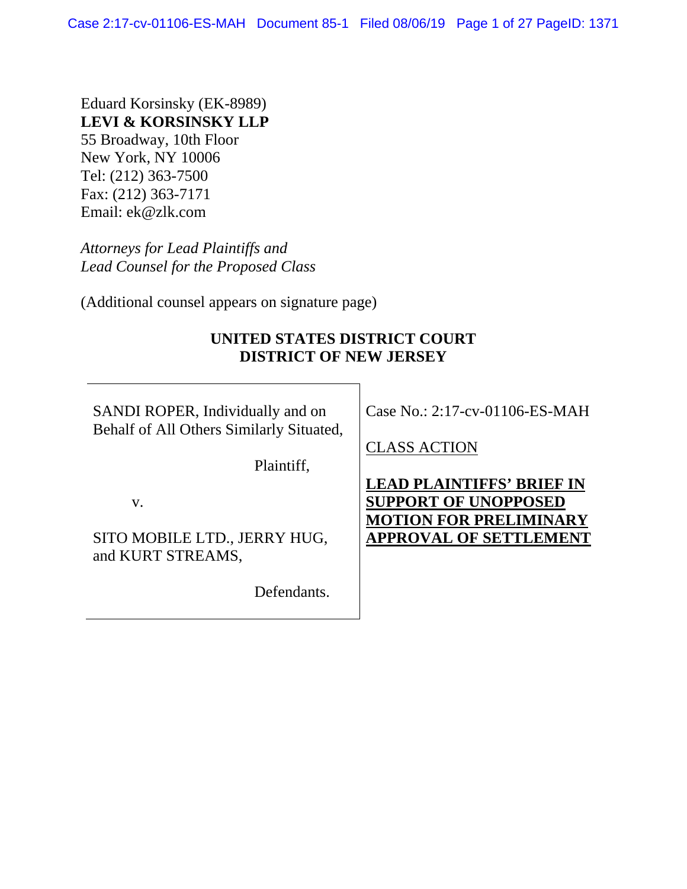Eduard Korsinsky (EK-8989) **LEVI & KORSINSKY LLP**  55 Broadway, 10th Floor New York, NY 10006 Tel: (212) 363-7500 Fax: (212) 363-7171 Email: ek@zlk.com

*Attorneys for Lead Plaintiffs and Lead Counsel for the Proposed Class* 

(Additional counsel appears on signature page)

# **UNITED STATES DISTRICT COURT DISTRICT OF NEW JERSEY**

SANDI ROPER, Individually and on Behalf of All Others Similarly Situated,

Plaintiff,

v.

SITO MOBILE LTD., JERRY HUG, and KURT STREAMS,

Defendants.

Case No.: 2:17-cv-01106-ES-MAH

CLASS ACTION

**LEAD PLAINTIFFS' BRIEF IN SUPPORT OF UNOPPOSED MOTION FOR PRELIMINARY APPROVAL OF SETTLEMENT**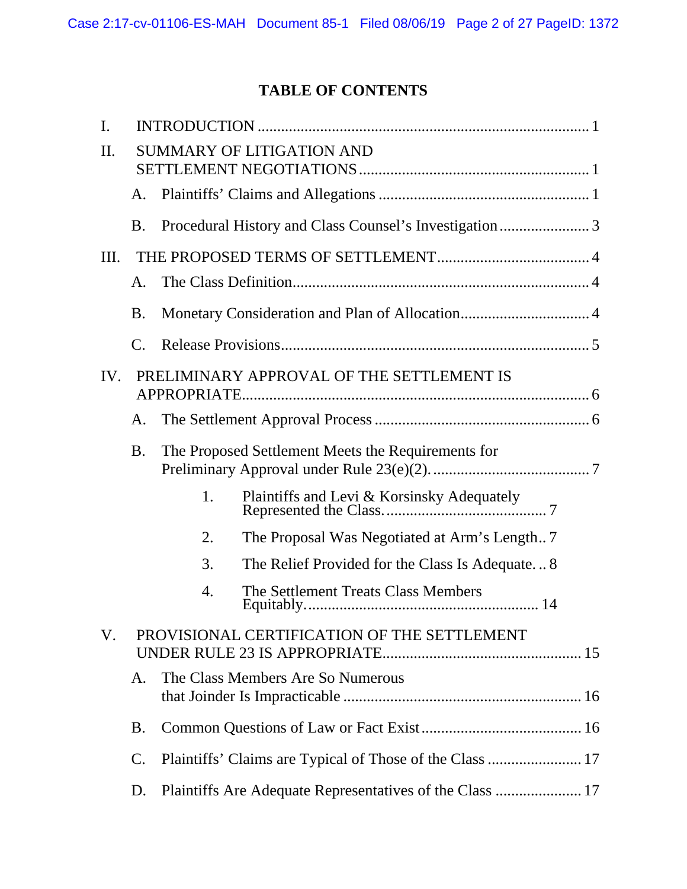# **TABLE OF CONTENTS**

| I.                                               |                                             |                                   |                                                       |  |  |  |
|--------------------------------------------------|---------------------------------------------|-----------------------------------|-------------------------------------------------------|--|--|--|
| II.                                              | <b>SUMMARY OF LITIGATION AND</b>            |                                   |                                                       |  |  |  |
|                                                  |                                             |                                   |                                                       |  |  |  |
|                                                  | А.                                          |                                   |                                                       |  |  |  |
|                                                  | <b>B.</b>                                   |                                   | Procedural History and Class Counsel's Investigation3 |  |  |  |
| Ш.                                               |                                             |                                   |                                                       |  |  |  |
|                                                  | А.                                          |                                   |                                                       |  |  |  |
|                                                  | <b>B.</b>                                   |                                   |                                                       |  |  |  |
|                                                  | C.                                          |                                   |                                                       |  |  |  |
| PRELIMINARY APPROVAL OF THE SETTLEMENT IS<br>IV. |                                             |                                   |                                                       |  |  |  |
|                                                  |                                             |                                   |                                                       |  |  |  |
|                                                  | А.                                          |                                   |                                                       |  |  |  |
|                                                  | <b>B.</b>                                   |                                   | The Proposed Settlement Meets the Requirements for    |  |  |  |
|                                                  |                                             | 1.                                |                                                       |  |  |  |
|                                                  |                                             | 2.                                | The Proposal Was Negotiated at Arm's Length7          |  |  |  |
|                                                  |                                             | 3.                                | The Relief Provided for the Class Is Adequate 8       |  |  |  |
|                                                  |                                             | 4.                                | The Settlement Treats Class Members                   |  |  |  |
| V.                                               | PROVISIONAL CERTIFICATION OF THE SETTLEMENT |                                   |                                                       |  |  |  |
|                                                  | A.                                          | The Class Members Are So Numerous |                                                       |  |  |  |
|                                                  | <b>B.</b>                                   |                                   |                                                       |  |  |  |
|                                                  | $\mathcal{C}$ .                             |                                   |                                                       |  |  |  |
|                                                  | D.                                          |                                   |                                                       |  |  |  |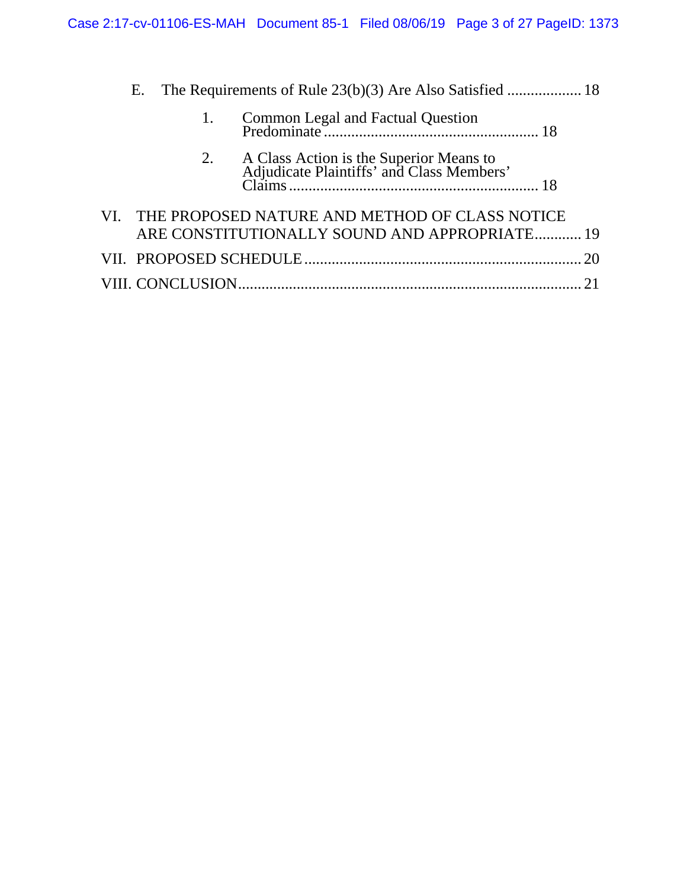|  |  | 1. |                                                    |  |
|--|--|----|----------------------------------------------------|--|
|  |  | 2. |                                                    |  |
|  |  |    | VI. THE PROPOSED NATURE AND METHOD OF CLASS NOTICE |  |
|  |  |    | ARE CONSTITUTIONALLY SOUND AND APPROPRIATE 19      |  |
|  |  |    |                                                    |  |
|  |  |    |                                                    |  |
|  |  |    |                                                    |  |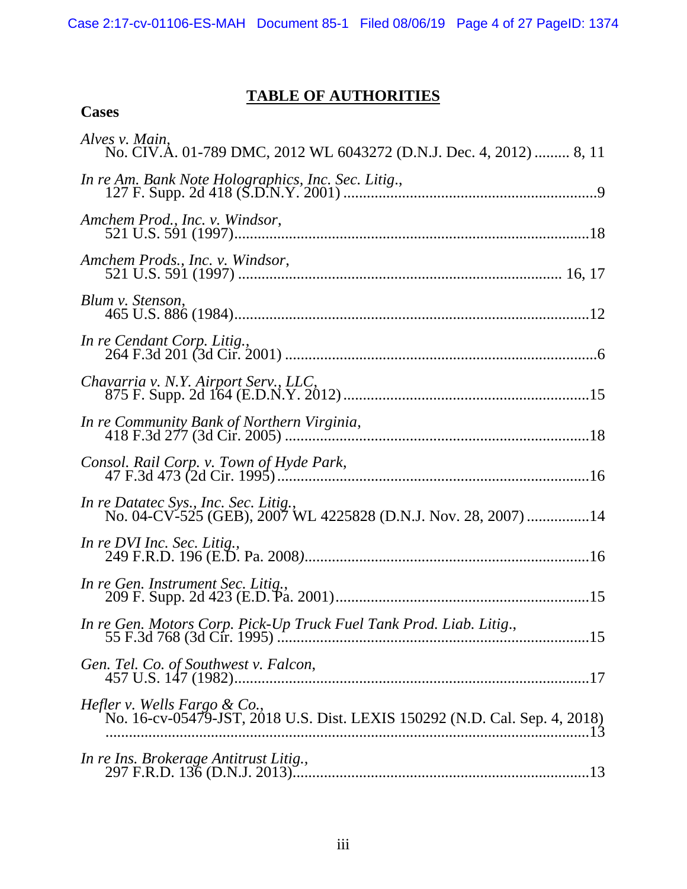# **TABLE OF AUTHORITIES**

| Alves v. Main,<br>No. CIV.A. 01-789 DMC, 2012 WL 6043272 (D.N.J. Dec. 4, 2012)  8, 11                      |
|------------------------------------------------------------------------------------------------------------|
|                                                                                                            |
| Amchem Prod., Inc. v. Windsor,                                                                             |
| Amchem Prods., Inc. v. Windsor,                                                                            |
| Blum v. Stenson,                                                                                           |
| In re Cendant Corp. Litig.,                                                                                |
|                                                                                                            |
|                                                                                                            |
|                                                                                                            |
| In re Datatec Sys., Inc. Sec. Litig.,<br>No. 04-CV-525 (GEB), 2007 WL 4225828 (D.N.J. Nov. 28, 2007) 14    |
| In re DVI Inc. Sec. Litig.,                                                                                |
|                                                                                                            |
| In re Gen. Motors Corp. Pick-Up Truck Fuel Tank Prod. Liab. Litig.,                                        |
|                                                                                                            |
| Hefler v. Wells Fargo & Co.,<br>No. 16-cv-05479-JST, 2018 U.S. Dist. LEXIS 150292 (N.D. Cal. Sep. 4, 2018) |
| In re Ins. Brokerage Antitrust Litig.,                                                                     |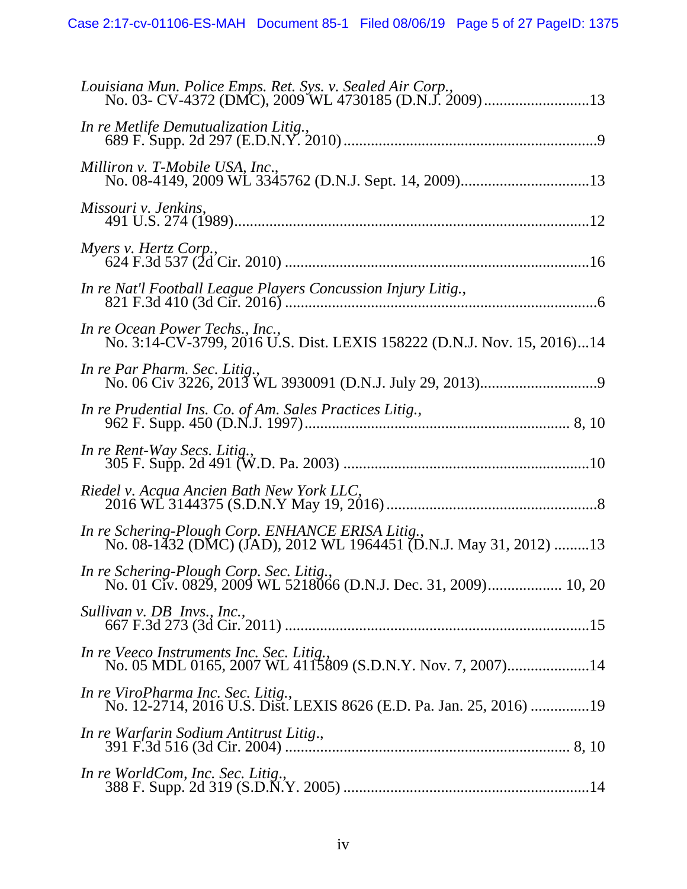| Louisiana Mun. Police Emps. Ret. Sys. v. Sealed Air Corp.,                                                             |
|------------------------------------------------------------------------------------------------------------------------|
| In re Metlife Demutualization Litig.,                                                                                  |
| Milliron v. T-Mobile USA, Inc.,                                                                                        |
| Missouri v. Jenkins,                                                                                                   |
| Myers v. Hertz Corp.,                                                                                                  |
| In re Nat'l Football League Players Concussion Injury Litig.,                                                          |
| In re Ocean Power Techs., Inc.,<br>No. 3:14-CV-3799, 2016 U.S. Dist. LEXIS 158222 (D.N.J. Nov. 15, 2016)14             |
| In re Par Pharm. Sec. Litig.,                                                                                          |
| In re Prudential Ins. Co. of Am. Sales Practices Litig.,                                                               |
|                                                                                                                        |
| In re Rent-Way Secs. Litig.,                                                                                           |
| Riedel v. Acqua Ancien Bath New York LLC,                                                                              |
| In re Schering-Plough Corp. ENHANCE ERISA Litig.,<br>No. 08-1432 (DMC) (JAD), 2012 WL 1964451 (D.N.J. May 31, 2012) 13 |
| In re Schering-Plough Corp. Sec. Litig.,<br>No. 01 Civ. 0829, 2009 WL 5218066 (D.N.J. Dec. 31, 2009) 10, 20            |
| Sullivan v. DB Invs., Inc.,                                                                                            |
| In re Veeco Instruments Inc. Sec. Litig.,<br>No. 05 MDL 0165, 2007 WL 4115809 (S.D.N.Y. Nov. 7, 2007)14                |
| In re ViroPharma Inc. Sec. Litig.,<br>No. 12-2714, 2016 U.S. Dist. LEXIS 8626 (E.D. Pa. Jan. 25, 2016) 19              |
| In re Warfarin Sodium Antitrust Litig.,                                                                                |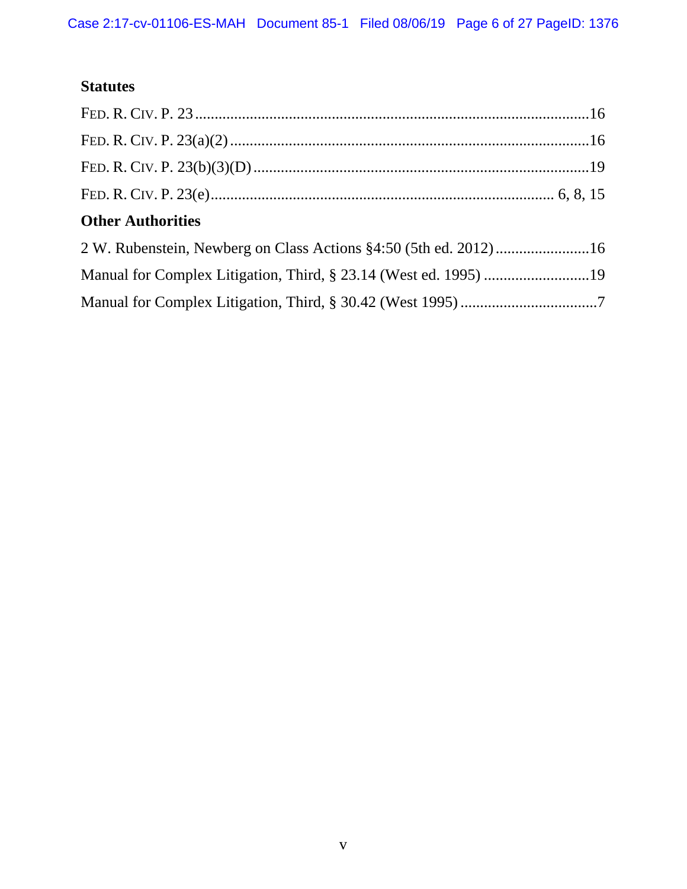# **Statutes**

| <b>Other Authorities</b> |  |
|--------------------------|--|
|                          |  |
|                          |  |
|                          |  |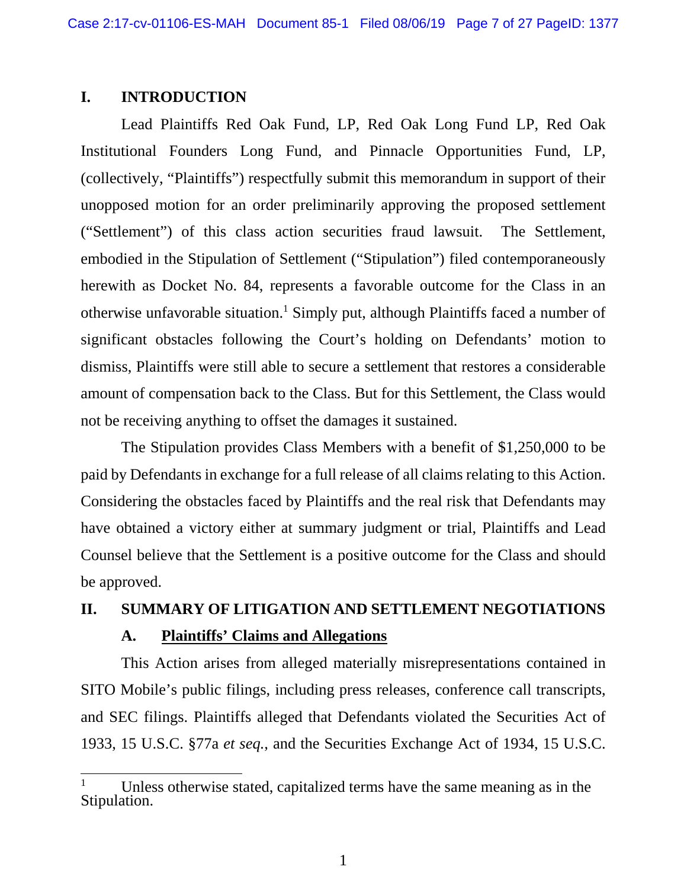### **I. INTRODUCTION**

 $\overline{a}$ 

Lead Plaintiffs Red Oak Fund, LP, Red Oak Long Fund LP, Red Oak Institutional Founders Long Fund, and Pinnacle Opportunities Fund, LP, (collectively, "Plaintiffs") respectfully submit this memorandum in support of their unopposed motion for an order preliminarily approving the proposed settlement ("Settlement") of this class action securities fraud lawsuit. The Settlement, embodied in the Stipulation of Settlement ("Stipulation") filed contemporaneously herewith as Docket No. 84, represents a favorable outcome for the Class in an otherwise unfavorable situation.<sup>1</sup> Simply put, although Plaintiffs faced a number of significant obstacles following the Court's holding on Defendants' motion to dismiss, Plaintiffs were still able to secure a settlement that restores a considerable amount of compensation back to the Class. But for this Settlement, the Class would not be receiving anything to offset the damages it sustained.

The Stipulation provides Class Members with a benefit of \$1,250,000 to be paid by Defendants in exchange for a full release of all claims relating to this Action. Considering the obstacles faced by Plaintiffs and the real risk that Defendants may have obtained a victory either at summary judgment or trial, Plaintiffs and Lead Counsel believe that the Settlement is a positive outcome for the Class and should be approved.

# **II. SUMMARY OF LITIGATION AND SETTLEMENT NEGOTIATIONS A. Plaintiffs' Claims and Allegations**

This Action arises from alleged materially misrepresentations contained in SITO Mobile's public filings, including press releases, conference call transcripts, and SEC filings. Plaintiffs alleged that Defendants violated the Securities Act of 1933, 15 U.S.C. §77a *et seq.*, and the Securities Exchange Act of 1934, 15 U.S.C.

<sup>1</sup> Unless otherwise stated, capitalized terms have the same meaning as in the Stipulation.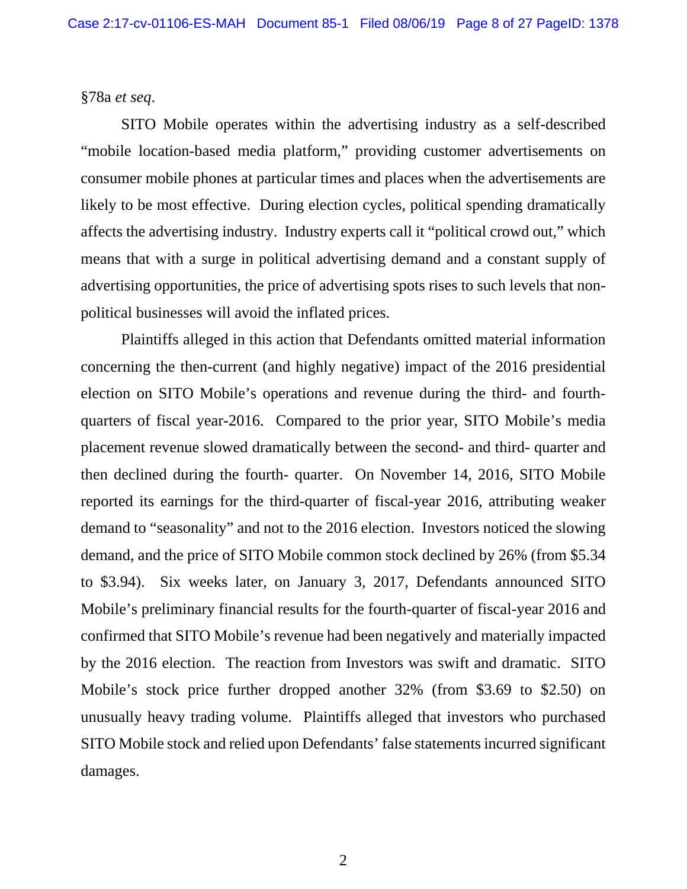### §78a *et seq*.

SITO Mobile operates within the advertising industry as a self-described "mobile location-based media platform," providing customer advertisements on consumer mobile phones at particular times and places when the advertisements are likely to be most effective. During election cycles, political spending dramatically affects the advertising industry. Industry experts call it "political crowd out," which means that with a surge in political advertising demand and a constant supply of advertising opportunities, the price of advertising spots rises to such levels that nonpolitical businesses will avoid the inflated prices.

Plaintiffs alleged in this action that Defendants omitted material information concerning the then-current (and highly negative) impact of the 2016 presidential election on SITO Mobile's operations and revenue during the third- and fourthquarters of fiscal year-2016. Compared to the prior year, SITO Mobile's media placement revenue slowed dramatically between the second- and third- quarter and then declined during the fourth- quarter. On November 14, 2016, SITO Mobile reported its earnings for the third-quarter of fiscal-year 2016, attributing weaker demand to "seasonality" and not to the 2016 election. Investors noticed the slowing demand, and the price of SITO Mobile common stock declined by 26% (from \$5.34 to \$3.94). Six weeks later, on January 3, 2017, Defendants announced SITO Mobile's preliminary financial results for the fourth-quarter of fiscal-year 2016 and confirmed that SITO Mobile's revenue had been negatively and materially impacted by the 2016 election. The reaction from Investors was swift and dramatic. SITO Mobile's stock price further dropped another 32% (from \$3.69 to \$2.50) on unusually heavy trading volume. Plaintiffs alleged that investors who purchased SITO Mobile stock and relied upon Defendants' false statements incurred significant damages.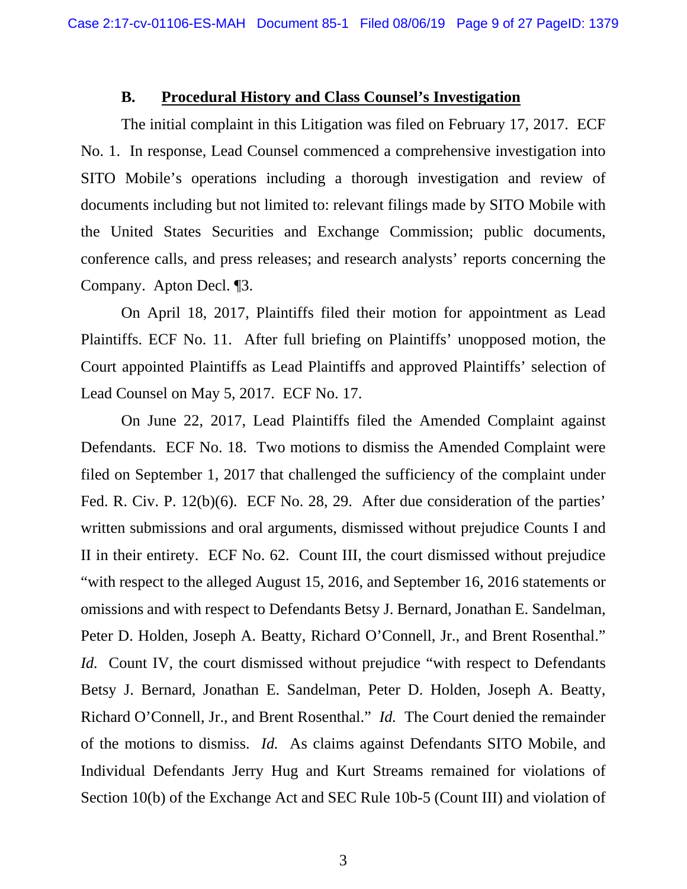### **B. Procedural History and Class Counsel's Investigation**

The initial complaint in this Litigation was filed on February 17, 2017. ECF No. 1. In response, Lead Counsel commenced a comprehensive investigation into SITO Mobile's operations including a thorough investigation and review of documents including but not limited to: relevant filings made by SITO Mobile with the United States Securities and Exchange Commission; public documents, conference calls, and press releases; and research analysts' reports concerning the Company. Apton Decl. ¶3.

On April 18, 2017, Plaintiffs filed their motion for appointment as Lead Plaintiffs. ECF No. 11. After full briefing on Plaintiffs' unopposed motion, the Court appointed Plaintiffs as Lead Plaintiffs and approved Plaintiffs' selection of Lead Counsel on May 5, 2017. ECF No. 17.

On June 22, 2017, Lead Plaintiffs filed the Amended Complaint against Defendants. ECF No. 18. Two motions to dismiss the Amended Complaint were filed on September 1, 2017 that challenged the sufficiency of the complaint under Fed. R. Civ. P. 12(b)(6). ECF No. 28, 29. After due consideration of the parties' written submissions and oral arguments, dismissed without prejudice Counts I and II in their entirety. ECF No. 62. Count III, the court dismissed without prejudice "with respect to the alleged August 15, 2016, and September 16, 2016 statements or omissions and with respect to Defendants Betsy J. Bernard, Jonathan E. Sandelman, Peter D. Holden, Joseph A. Beatty, Richard O'Connell, Jr., and Brent Rosenthal." *Id.* Count IV, the court dismissed without prejudice "with respect to Defendants" Betsy J. Bernard, Jonathan E. Sandelman, Peter D. Holden, Joseph A. Beatty, Richard O'Connell, Jr., and Brent Rosenthal." *Id.* The Court denied the remainder of the motions to dismiss. *Id.* As claims against Defendants SITO Mobile, and Individual Defendants Jerry Hug and Kurt Streams remained for violations of Section 10(b) of the Exchange Act and SEC Rule 10b-5 (Count III) and violation of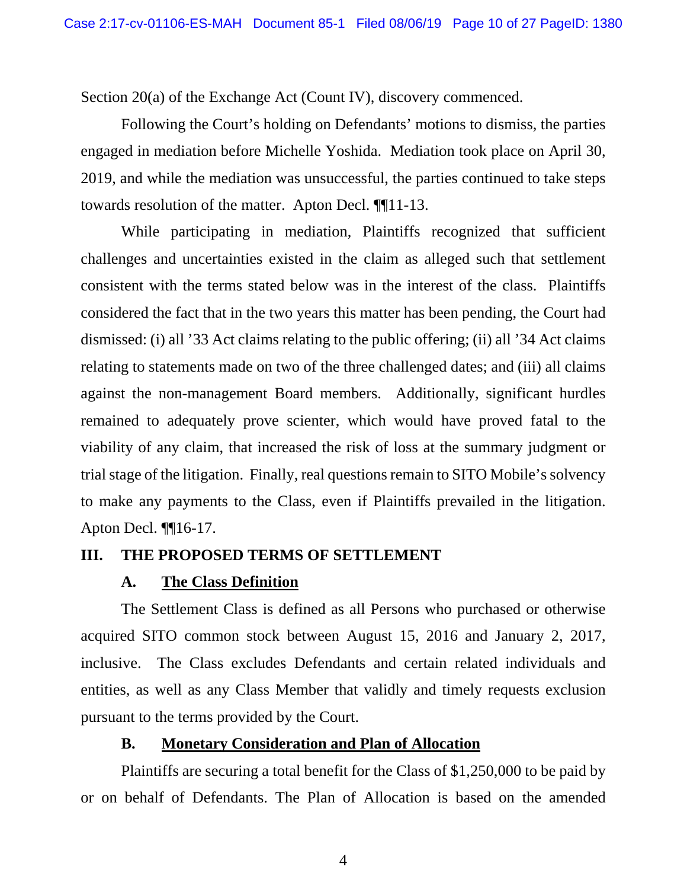Section 20(a) of the Exchange Act (Count IV), discovery commenced.

Following the Court's holding on Defendants' motions to dismiss, the parties engaged in mediation before Michelle Yoshida. Mediation took place on April 30, 2019, and while the mediation was unsuccessful, the parties continued to take steps towards resolution of the matter. Apton Decl. ¶¶11-13.

While participating in mediation, Plaintiffs recognized that sufficient challenges and uncertainties existed in the claim as alleged such that settlement consistent with the terms stated below was in the interest of the class. Plaintiffs considered the fact that in the two years this matter has been pending, the Court had dismissed: (i) all '33 Act claims relating to the public offering; (ii) all '34 Act claims relating to statements made on two of the three challenged dates; and (iii) all claims against the non-management Board members. Additionally, significant hurdles remained to adequately prove scienter, which would have proved fatal to the viability of any claim, that increased the risk of loss at the summary judgment or trial stage of the litigation. Finally, real questions remain to SITO Mobile's solvency to make any payments to the Class, even if Plaintiffs prevailed in the litigation. Apton Decl. ¶¶16-17.

### **III. THE PROPOSED TERMS OF SETTLEMENT**

### **A. The Class Definition**

The Settlement Class is defined as all Persons who purchased or otherwise acquired SITO common stock between August 15, 2016 and January 2, 2017, inclusive. The Class excludes Defendants and certain related individuals and entities, as well as any Class Member that validly and timely requests exclusion pursuant to the terms provided by the Court.

### **B. Monetary Consideration and Plan of Allocation**

Plaintiffs are securing a total benefit for the Class of \$1,250,000 to be paid by or on behalf of Defendants. The Plan of Allocation is based on the amended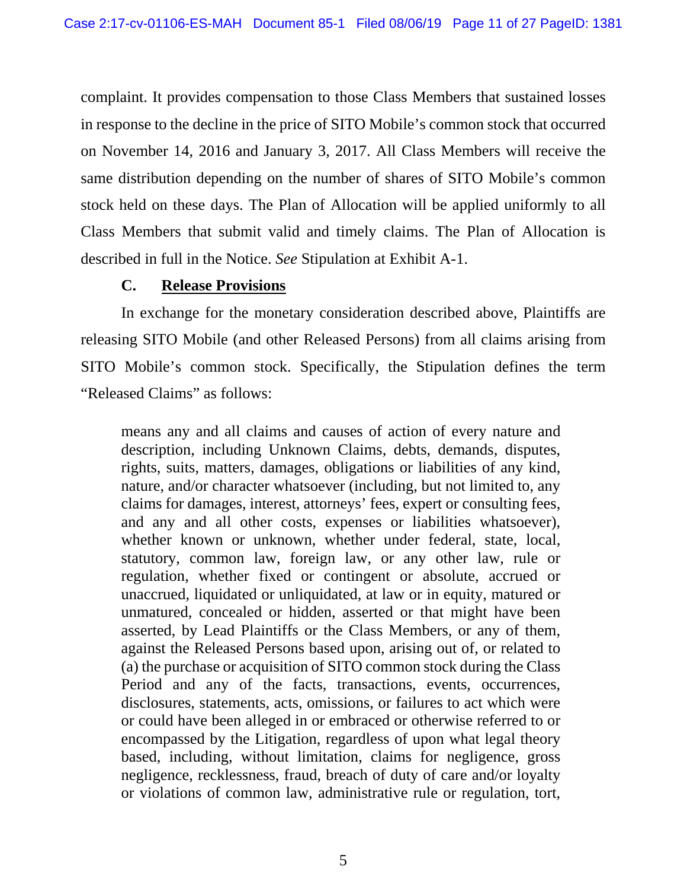complaint. It provides compensation to those Class Members that sustained losses in response to the decline in the price of SITO Mobile's common stock that occurred on November 14, 2016 and January 3, 2017. All Class Members will receive the same distribution depending on the number of shares of SITO Mobile's common stock held on these days. The Plan of Allocation will be applied uniformly to all Class Members that submit valid and timely claims. The Plan of Allocation is described in full in the Notice. *See* Stipulation at Exhibit A-1.

## **C. Release Provisions**

In exchange for the monetary consideration described above, Plaintiffs are releasing SITO Mobile (and other Released Persons) from all claims arising from SITO Mobile's common stock. Specifically, the Stipulation defines the term "Released Claims" as follows:

means any and all claims and causes of action of every nature and description, including Unknown Claims, debts, demands, disputes, rights, suits, matters, damages, obligations or liabilities of any kind, nature, and/or character whatsoever (including, but not limited to, any claims for damages, interest, attorneys' fees, expert or consulting fees, and any and all other costs, expenses or liabilities whatsoever), whether known or unknown, whether under federal, state, local, statutory, common law, foreign law, or any other law, rule or regulation, whether fixed or contingent or absolute, accrued or unaccrued, liquidated or unliquidated, at law or in equity, matured or unmatured, concealed or hidden, asserted or that might have been asserted, by Lead Plaintiffs or the Class Members, or any of them, against the Released Persons based upon, arising out of, or related to (a) the purchase or acquisition of SITO common stock during the Class Period and any of the facts, transactions, events, occurrences, disclosures, statements, acts, omissions, or failures to act which were or could have been alleged in or embraced or otherwise referred to or encompassed by the Litigation, regardless of upon what legal theory based, including, without limitation, claims for negligence, gross negligence, recklessness, fraud, breach of duty of care and/or loyalty or violations of common law, administrative rule or regulation, tort,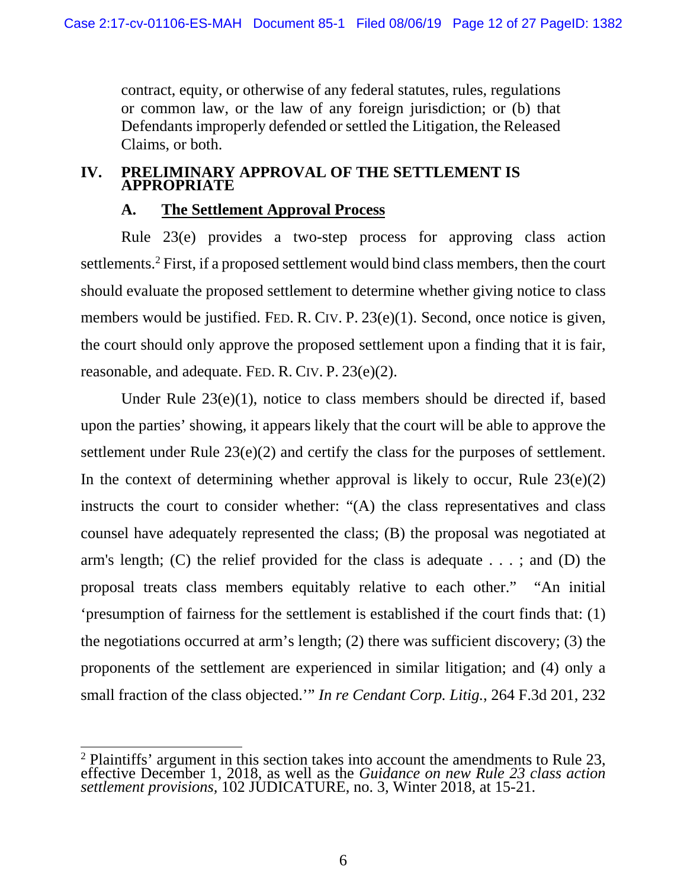contract, equity, or otherwise of any federal statutes, rules, regulations or common law, or the law of any foreign jurisdiction; or (b) that Defendants improperly defended or settled the Litigation, the Released Claims, or both.

### **IV. PRELIMINARY APPROVAL OF THE SETTLEMENT IS APPROPRIATE**

### **A. The Settlement Approval Process**

Rule 23(e) provides a two-step process for approving class action settlements.<sup>2</sup> First, if a proposed settlement would bind class members, then the court should evaluate the proposed settlement to determine whether giving notice to class members would be justified. FED. R. CIV. P. 23(e)(1). Second, once notice is given, the court should only approve the proposed settlement upon a finding that it is fair, reasonable, and adequate. FED. R. CIV. P. 23(e)(2).

Under Rule 23(e)(1), notice to class members should be directed if, based upon the parties' showing, it appears likely that the court will be able to approve the settlement under Rule 23(e)(2) and certify the class for the purposes of settlement. In the context of determining whether approval is likely to occur, Rule  $23(e)(2)$ instructs the court to consider whether: "(A) the class representatives and class counsel have adequately represented the class; (B) the proposal was negotiated at arm's length; (C) the relief provided for the class is adequate  $\dots$ ; and (D) the proposal treats class members equitably relative to each other." "An initial 'presumption of fairness for the settlement is established if the court finds that: (1) the negotiations occurred at arm's length; (2) there was sufficient discovery; (3) the proponents of the settlement are experienced in similar litigation; and (4) only a small fraction of the class objected.'" *In re Cendant Corp. Litig.*, 264 F.3d 201, 232

 $\overline{a}$ 

 $2$  Plaintiffs' argument in this section takes into account the amendments to Rule 23, effective December 1, 2018, as well as the *Guidance on new Rule 23 class action settlement provisions,* 102 JUDICATURE, no. 3, Winter 2018, at 15-21.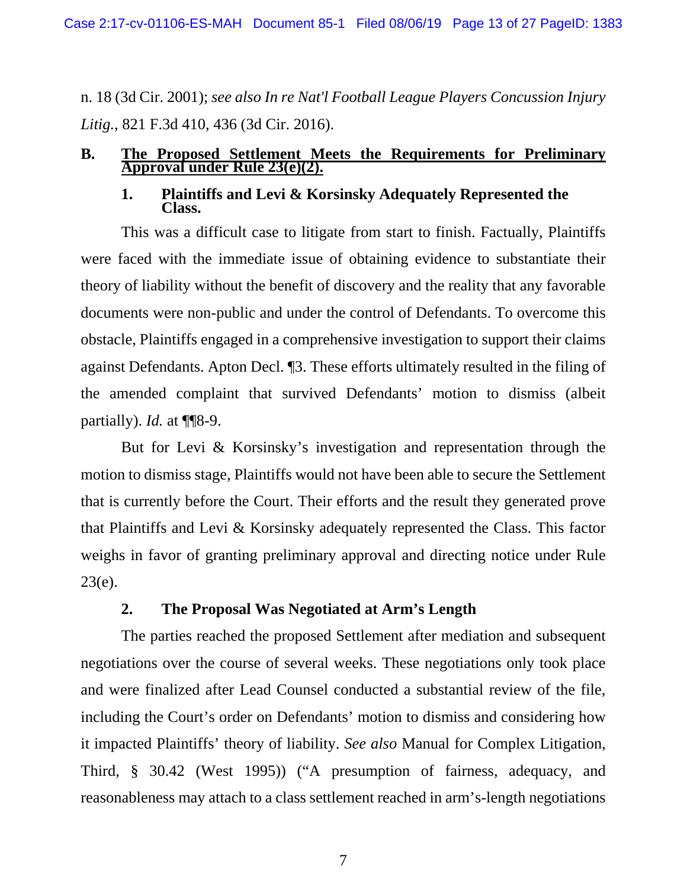Case 2:17-cv-01106-ES-MAH Document 85-1 Filed 08/06/19 Page 13 of 27 PageID: 1383

n. 18 (3d Cir. 2001); *see also In re Nat'l Football League Players Concussion Injury Litig.*, 821 F.3d 410, 436 (3d Cir. 2016).

# **B.** The Proposed Settlement Meets the Requirements for Preliminary Approval under Rule 23(e)(2).

# **1. Plaintiffs and Levi & Korsinsky Adequately Represented the Class.**

This was a difficult case to litigate from start to finish. Factually, Plaintiffs were faced with the immediate issue of obtaining evidence to substantiate their theory of liability without the benefit of discovery and the reality that any favorable documents were non-public and under the control of Defendants. To overcome this obstacle, Plaintiffs engaged in a comprehensive investigation to support their claims against Defendants. Apton Decl. ¶3. These efforts ultimately resulted in the filing of the amended complaint that survived Defendants' motion to dismiss (albeit partially). *Id.* at ¶¶8-9.

But for Levi & Korsinsky's investigation and representation through the motion to dismiss stage, Plaintiffs would not have been able to secure the Settlement that is currently before the Court. Their efforts and the result they generated prove that Plaintiffs and Levi & Korsinsky adequately represented the Class. This factor weighs in favor of granting preliminary approval and directing notice under Rule  $23(e)$ .

### **2. The Proposal Was Negotiated at Arm's Length**

The parties reached the proposed Settlement after mediation and subsequent negotiations over the course of several weeks. These negotiations only took place and were finalized after Lead Counsel conducted a substantial review of the file, including the Court's order on Defendants' motion to dismiss and considering how it impacted Plaintiffs' theory of liability. *See also* Manual for Complex Litigation, Third, § 30.42 (West 1995)) ("A presumption of fairness, adequacy, and reasonableness may attach to a class settlement reached in arm's-length negotiations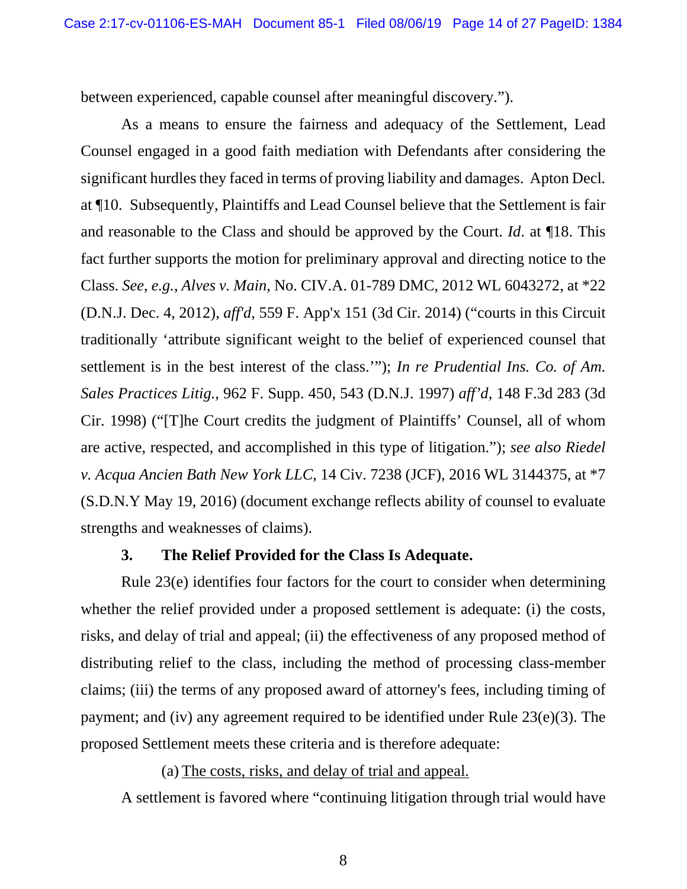between experienced, capable counsel after meaningful discovery.").

As a means to ensure the fairness and adequacy of the Settlement, Lead Counsel engaged in a good faith mediation with Defendants after considering the significant hurdles they faced in terms of proving liability and damages. Apton Decl*.* at ¶10. Subsequently, Plaintiffs and Lead Counsel believe that the Settlement is fair and reasonable to the Class and should be approved by the Court. *Id*. at ¶18. This fact further supports the motion for preliminary approval and directing notice to the Class. *See*, *e.g.*, *Alves v. Main*, No. CIV.A. 01-789 DMC, 2012 WL 6043272, at \*22 (D.N.J. Dec. 4, 2012), *aff'd*, 559 F. App'x 151 (3d Cir. 2014) ("courts in this Circuit traditionally 'attribute significant weight to the belief of experienced counsel that settlement is in the best interest of the class.'"); *In re Prudential Ins. Co. of Am. Sales Practices Litig.*, 962 F. Supp. 450, 543 (D.N.J. 1997) *aff'd*, 148 F.3d 283 (3d Cir. 1998) ("[T]he Court credits the judgment of Plaintiffs' Counsel, all of whom are active, respected, and accomplished in this type of litigation."); *see also Riedel v. Acqua Ancien Bath New York LLC*, 14 Civ. 7238 (JCF), 2016 WL 3144375, at \*7 (S.D.N.Y May 19, 2016) (document exchange reflects ability of counsel to evaluate strengths and weaknesses of claims).

### **3. The Relief Provided for the Class Is Adequate.**

Rule 23(e) identifies four factors for the court to consider when determining whether the relief provided under a proposed settlement is adequate: (i) the costs, risks, and delay of trial and appeal; (ii) the effectiveness of any proposed method of distributing relief to the class, including the method of processing class-member claims; (iii) the terms of any proposed award of attorney's fees, including timing of payment; and (iv) any agreement required to be identified under Rule 23(e)(3). The proposed Settlement meets these criteria and is therefore adequate:

(a) The costs, risks, and delay of trial and appeal.

A settlement is favored where "continuing litigation through trial would have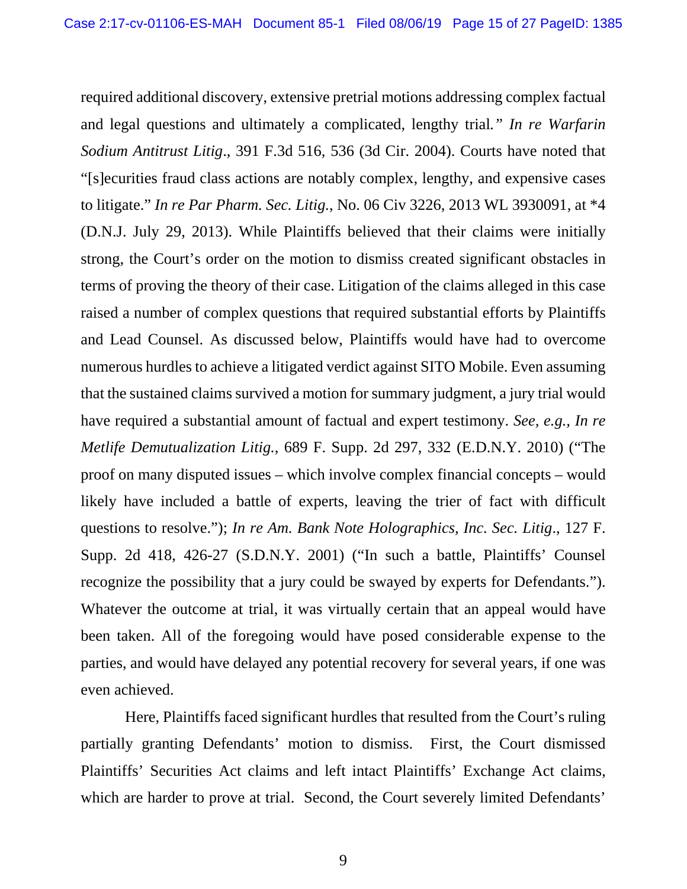required additional discovery, extensive pretrial motions addressing complex factual and legal questions and ultimately a complicated, lengthy trial*." In re Warfarin Sodium Antitrust Litig*., 391 F.3d 516, 536 (3d Cir. 2004). Courts have noted that "[s]ecurities fraud class actions are notably complex, lengthy, and expensive cases to litigate." *In re Par Pharm. Sec. Litig.*, No. 06 Civ 3226, 2013 WL 3930091, at \*4 (D.N.J. July 29, 2013). While Plaintiffs believed that their claims were initially strong, the Court's order on the motion to dismiss created significant obstacles in terms of proving the theory of their case. Litigation of the claims alleged in this case raised a number of complex questions that required substantial efforts by Plaintiffs and Lead Counsel. As discussed below, Plaintiffs would have had to overcome numerous hurdles to achieve a litigated verdict against SITO Mobile. Even assuming that the sustained claims survived a motion for summary judgment, a jury trial would have required a substantial amount of factual and expert testimony. *See, e.g., In re Metlife Demutualization Litig.*, 689 F. Supp. 2d 297, 332 (E.D.N.Y. 2010) ("The proof on many disputed issues – which involve complex financial concepts – would likely have included a battle of experts, leaving the trier of fact with difficult questions to resolve."); *In re Am. Bank Note Holographics, Inc. Sec. Litig*., 127 F. Supp. 2d 418, 426-27 (S.D.N.Y. 2001) ("In such a battle, Plaintiffs' Counsel recognize the possibility that a jury could be swayed by experts for Defendants."). Whatever the outcome at trial, it was virtually certain that an appeal would have been taken. All of the foregoing would have posed considerable expense to the parties, and would have delayed any potential recovery for several years, if one was even achieved.

 Here, Plaintiffs faced significant hurdles that resulted from the Court's ruling partially granting Defendants' motion to dismiss. First, the Court dismissed Plaintiffs' Securities Act claims and left intact Plaintiffs' Exchange Act claims, which are harder to prove at trial. Second, the Court severely limited Defendants'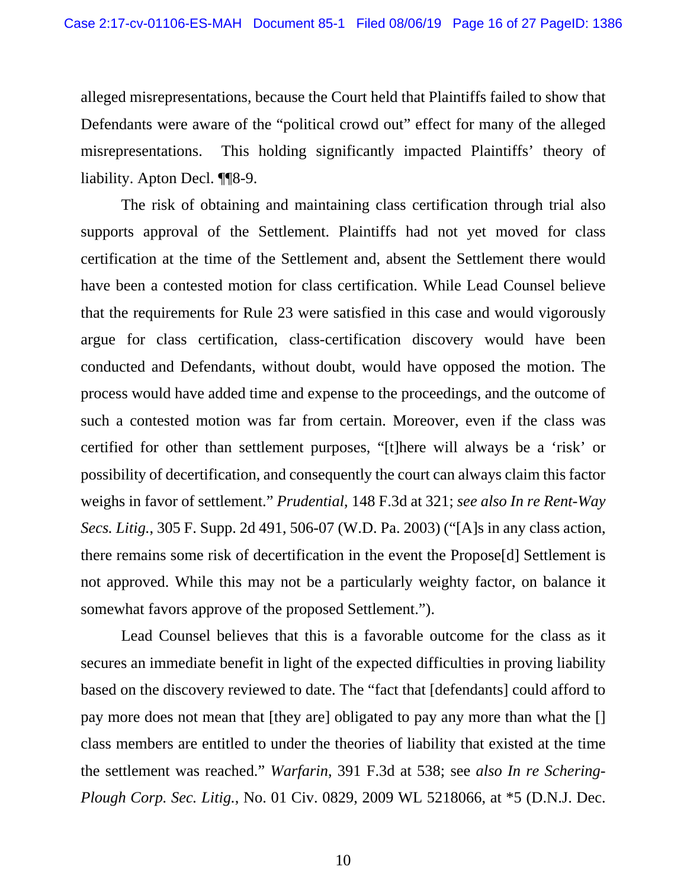alleged misrepresentations, because the Court held that Plaintiffs failed to show that Defendants were aware of the "political crowd out" effect for many of the alleged misrepresentations. This holding significantly impacted Plaintiffs' theory of liability. Apton Decl. ¶¶8-9.

The risk of obtaining and maintaining class certification through trial also supports approval of the Settlement. Plaintiffs had not yet moved for class certification at the time of the Settlement and, absent the Settlement there would have been a contested motion for class certification. While Lead Counsel believe that the requirements for Rule 23 were satisfied in this case and would vigorously argue for class certification, class-certification discovery would have been conducted and Defendants, without doubt, would have opposed the motion. The process would have added time and expense to the proceedings, and the outcome of such a contested motion was far from certain. Moreover, even if the class was certified for other than settlement purposes, "[t]here will always be a 'risk' or possibility of decertification, and consequently the court can always claim this factor weighs in favor of settlement." *Prudential*, 148 F.3d at 321; *see also In re Rent-Way Secs. Litig.*, 305 F. Supp. 2d 491, 506-07 (W.D. Pa. 2003) ("[A]s in any class action, there remains some risk of decertification in the event the Propose[d] Settlement is not approved. While this may not be a particularly weighty factor, on balance it somewhat favors approve of the proposed Settlement.").

Lead Counsel believes that this is a favorable outcome for the class as it secures an immediate benefit in light of the expected difficulties in proving liability based on the discovery reviewed to date. The "fact that [defendants] could afford to pay more does not mean that [they are] obligated to pay any more than what the [] class members are entitled to under the theories of liability that existed at the time the settlement was reached." *Warfarin*, 391 F.3d at 538; see *also In re Schering-Plough Corp. Sec. Litig.*, No. 01 Civ. 0829, 2009 WL 5218066, at \*5 (D.N.J. Dec.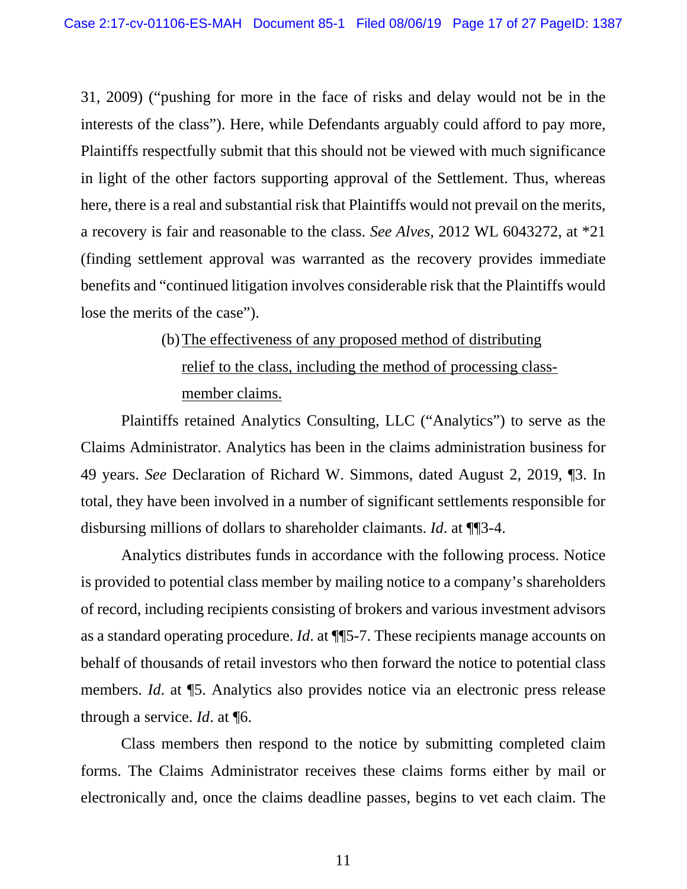31, 2009) ("pushing for more in the face of risks and delay would not be in the interests of the class"). Here, while Defendants arguably could afford to pay more, Plaintiffs respectfully submit that this should not be viewed with much significance in light of the other factors supporting approval of the Settlement. Thus, whereas here, there is a real and substantial risk that Plaintiffs would not prevail on the merits, a recovery is fair and reasonable to the class. *See Alves,* 2012 WL 6043272, at \*21 (finding settlement approval was warranted as the recovery provides immediate benefits and "continued litigation involves considerable risk that the Plaintiffs would lose the merits of the case").

# (b)The effectiveness of any proposed method of distributing relief to the class, including the method of processing classmember claims.

Plaintiffs retained Analytics Consulting, LLC ("Analytics") to serve as the Claims Administrator. Analytics has been in the claims administration business for 49 years. *See* Declaration of Richard W. Simmons, dated August 2, 2019, ¶3. In total, they have been involved in a number of significant settlements responsible for disbursing millions of dollars to shareholder claimants. *Id*. at ¶¶3-4.

Analytics distributes funds in accordance with the following process. Notice is provided to potential class member by mailing notice to a company's shareholders of record, including recipients consisting of brokers and various investment advisors as a standard operating procedure. *Id*. at ¶¶5-7. These recipients manage accounts on behalf of thousands of retail investors who then forward the notice to potential class members. *Id*. at ¶5. Analytics also provides notice via an electronic press release through a service. *Id*. at ¶6.

Class members then respond to the notice by submitting completed claim forms. The Claims Administrator receives these claims forms either by mail or electronically and, once the claims deadline passes, begins to vet each claim. The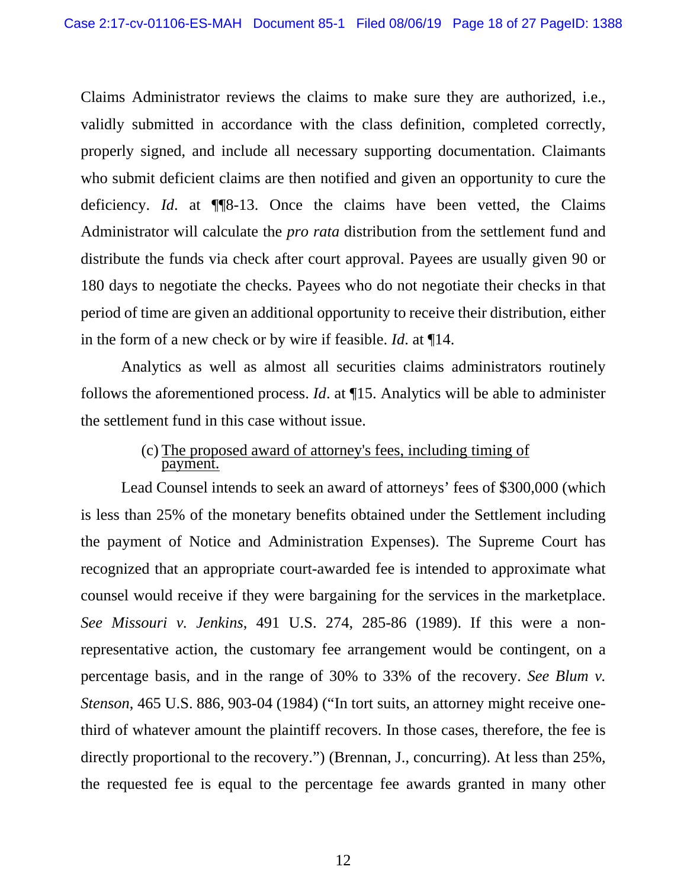Claims Administrator reviews the claims to make sure they are authorized, i.e., validly submitted in accordance with the class definition, completed correctly, properly signed, and include all necessary supporting documentation. Claimants who submit deficient claims are then notified and given an opportunity to cure the deficiency. *Id*. at ¶¶8-13. Once the claims have been vetted, the Claims Administrator will calculate the *pro rata* distribution from the settlement fund and distribute the funds via check after court approval. Payees are usually given 90 or 180 days to negotiate the checks. Payees who do not negotiate their checks in that period of time are given an additional opportunity to receive their distribution, either in the form of a new check or by wire if feasible. *Id*. at ¶14.

Analytics as well as almost all securities claims administrators routinely follows the aforementioned process. *Id*. at ¶15. Analytics will be able to administer the settlement fund in this case without issue.

### (c) The proposed award of attorney's fees, including timing of payment.

Lead Counsel intends to seek an award of attorneys' fees of \$300,000 (which is less than 25% of the monetary benefits obtained under the Settlement including the payment of Notice and Administration Expenses). The Supreme Court has recognized that an appropriate court-awarded fee is intended to approximate what counsel would receive if they were bargaining for the services in the marketplace. *See Missouri v. Jenkins*, 491 U.S. 274, 285-86 (1989). If this were a nonrepresentative action, the customary fee arrangement would be contingent, on a percentage basis, and in the range of 30% to 33% of the recovery. *See Blum v. Stenson*, 465 U.S. 886, 903-04 (1984) ("In tort suits, an attorney might receive onethird of whatever amount the plaintiff recovers. In those cases, therefore, the fee is directly proportional to the recovery.") (Brennan, J., concurring). At less than 25%, the requested fee is equal to the percentage fee awards granted in many other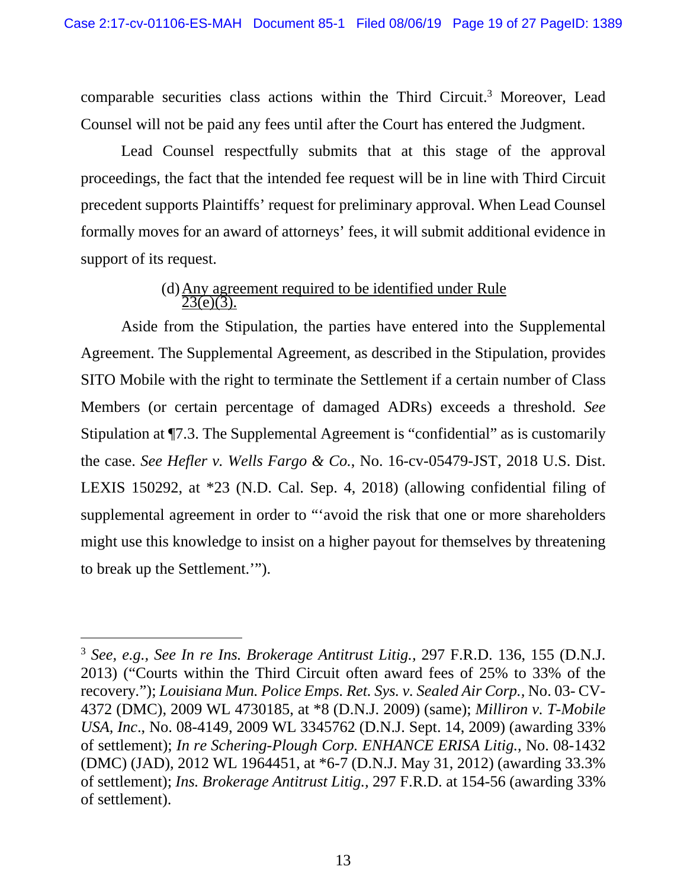comparable securities class actions within the Third Circuit.<sup>3</sup> Moreover, Lead Counsel will not be paid any fees until after the Court has entered the Judgment.

Lead Counsel respectfully submits that at this stage of the approval proceedings, the fact that the intended fee request will be in line with Third Circuit precedent supports Plaintiffs' request for preliminary approval. When Lead Counsel formally moves for an award of attorneys' fees, it will submit additional evidence in support of its request.

### (d) Any agreement required to be identified under Rule  $23(e)(3)$ .

Aside from the Stipulation, the parties have entered into the Supplemental Agreement. The Supplemental Agreement, as described in the Stipulation, provides SITO Mobile with the right to terminate the Settlement if a certain number of Class Members (or certain percentage of damaged ADRs) exceeds a threshold. *See*  Stipulation at ¶7.3. The Supplemental Agreement is "confidential" as is customarily the case. *See Hefler v. Wells Fargo & Co.*, No. 16-cv-05479-JST, 2018 U.S. Dist. LEXIS 150292, at \*23 (N.D. Cal. Sep. 4, 2018) (allowing confidential filing of supplemental agreement in order to "'avoid the risk that one or more shareholders might use this knowledge to insist on a higher payout for themselves by threatening to break up the Settlement.'").

 $\overline{a}$ 

<sup>3</sup> *See, e.g., See In re Ins. Brokerage Antitrust Litig.,* 297 F.R.D. 136, 155 (D.N.J. 2013) ("Courts within the Third Circuit often award fees of 25% to 33% of the recovery*.*"); *Louisiana Mun. Police Emps. Ret. Sys. v. Sealed Air Corp.,* No. 03- CV-4372 (DMC), 2009 WL 4730185, at \*8 (D.N.J. 2009) (same); *Milliron v. T-Mobile USA, Inc*., No. 08-4149, 2009 WL 3345762 (D.N.J. Sept. 14, 2009) (awarding 33% of settlement); *In re Schering-Plough Corp. ENHANCE ERISA Litig.*, No. 08-1432 (DMC) (JAD), 2012 WL 1964451, at \*6-7 (D.N.J. May 31, 2012) (awarding 33.3% of settlement); *Ins. Brokerage Antitrust Litig.,* 297 F.R.D. at 154-56 (awarding 33% of settlement).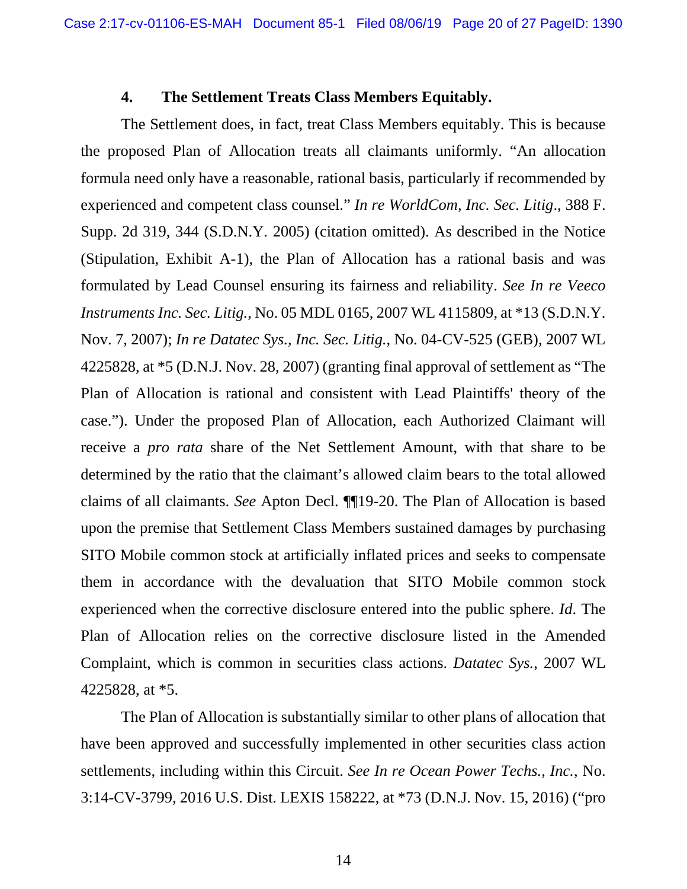#### **4. The Settlement Treats Class Members Equitably.**

The Settlement does, in fact, treat Class Members equitably. This is because the proposed Plan of Allocation treats all claimants uniformly. "An allocation formula need only have a reasonable, rational basis, particularly if recommended by experienced and competent class counsel." *In re WorldCom, Inc. Sec. Litig*., 388 F. Supp. 2d 319, 344 (S.D.N.Y. 2005) (citation omitted). As described in the Notice (Stipulation, Exhibit A-1), the Plan of Allocation has a rational basis and was formulated by Lead Counsel ensuring its fairness and reliability. *See In re Veeco Instruments Inc. Sec. Litig.*, No. 05 MDL 0165, 2007 WL 4115809, at \*13 (S.D.N.Y. Nov. 7, 2007); *In re Datatec Sys., Inc. Sec. Litig.*, No. 04-CV-525 (GEB), 2007 WL 4225828, at \*5 (D.N.J. Nov. 28, 2007) (granting final approval of settlement as "The Plan of Allocation is rational and consistent with Lead Plaintiffs' theory of the case."). Under the proposed Plan of Allocation, each Authorized Claimant will receive a *pro rata* share of the Net Settlement Amount, with that share to be determined by the ratio that the claimant's allowed claim bears to the total allowed claims of all claimants. *See* Apton Decl. ¶¶19-20. The Plan of Allocation is based upon the premise that Settlement Class Members sustained damages by purchasing SITO Mobile common stock at artificially inflated prices and seeks to compensate them in accordance with the devaluation that SITO Mobile common stock experienced when the corrective disclosure entered into the public sphere. *Id*. The Plan of Allocation relies on the corrective disclosure listed in the Amended Complaint, which is common in securities class actions. *Datatec Sys.,* 2007 WL 4225828, at \*5.

The Plan of Allocation is substantially similar to other plans of allocation that have been approved and successfully implemented in other securities class action settlements, including within this Circuit. *See In re Ocean Power Techs., Inc.*, No. 3:14-CV-3799, 2016 U.S. Dist. LEXIS 158222, at \*73 (D.N.J. Nov. 15, 2016) ("pro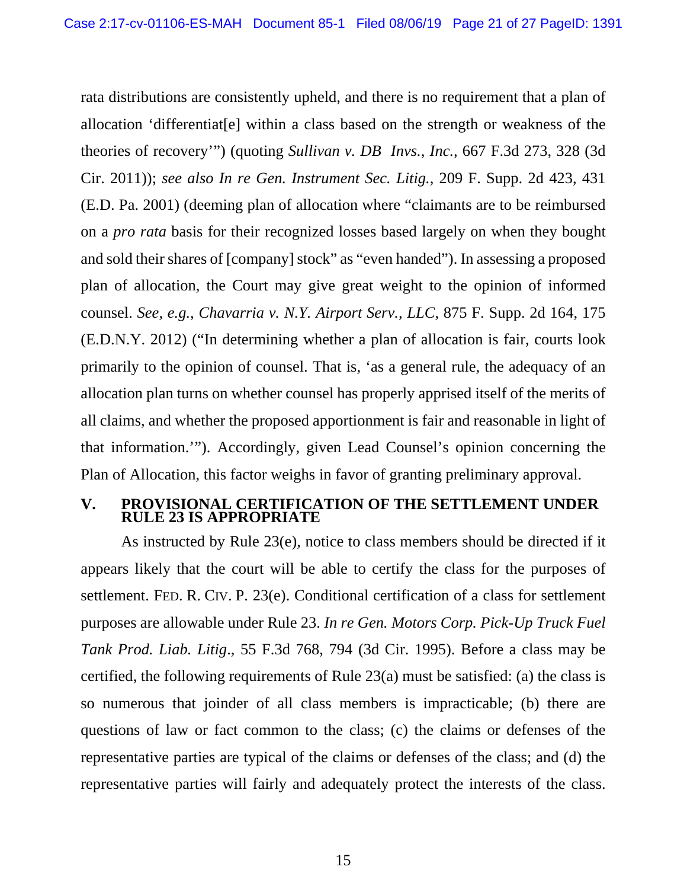rata distributions are consistently upheld, and there is no requirement that a plan of allocation 'differentiat[e] within a class based on the strength or weakness of the theories of recovery'") (quoting *Sullivan v. DB Invs., Inc.,* 667 F.3d 273, 328 (3d Cir. 2011)); *see also In re Gen. Instrument Sec. Litig.*, 209 F. Supp. 2d 423, 431 (E.D. Pa. 2001) (deeming plan of allocation where "claimants are to be reimbursed on a *pro rata* basis for their recognized losses based largely on when they bought and sold their shares of [company] stock" as "even handed"). In assessing a proposed plan of allocation, the Court may give great weight to the opinion of informed counsel. *See, e.g.*, *Chavarria v. N.Y. Airport Serv., LLC*, 875 F. Supp. 2d 164, 175 (E.D.N.Y. 2012) ("In determining whether a plan of allocation is fair, courts look primarily to the opinion of counsel. That is, 'as a general rule, the adequacy of an allocation plan turns on whether counsel has properly apprised itself of the merits of all claims, and whether the proposed apportionment is fair and reasonable in light of that information.'"). Accordingly, given Lead Counsel's opinion concerning the Plan of Allocation, this factor weighs in favor of granting preliminary approval.

### **V. PROVISIONAL CERTIFICATION OF THE SETTLEMENT UNDER RULE 23 IS APPROPRIATE**

As instructed by Rule 23(e), notice to class members should be directed if it appears likely that the court will be able to certify the class for the purposes of settlement. FED. R. CIV. P. 23(e). Conditional certification of a class for settlement purposes are allowable under Rule 23. *In re Gen. Motors Corp. Pick-Up Truck Fuel Tank Prod. Liab. Litig*., 55 F.3d 768, 794 (3d Cir. 1995). Before a class may be certified, the following requirements of Rule 23(a) must be satisfied: (a) the class is so numerous that joinder of all class members is impracticable; (b) there are questions of law or fact common to the class; (c) the claims or defenses of the representative parties are typical of the claims or defenses of the class; and (d) the representative parties will fairly and adequately protect the interests of the class.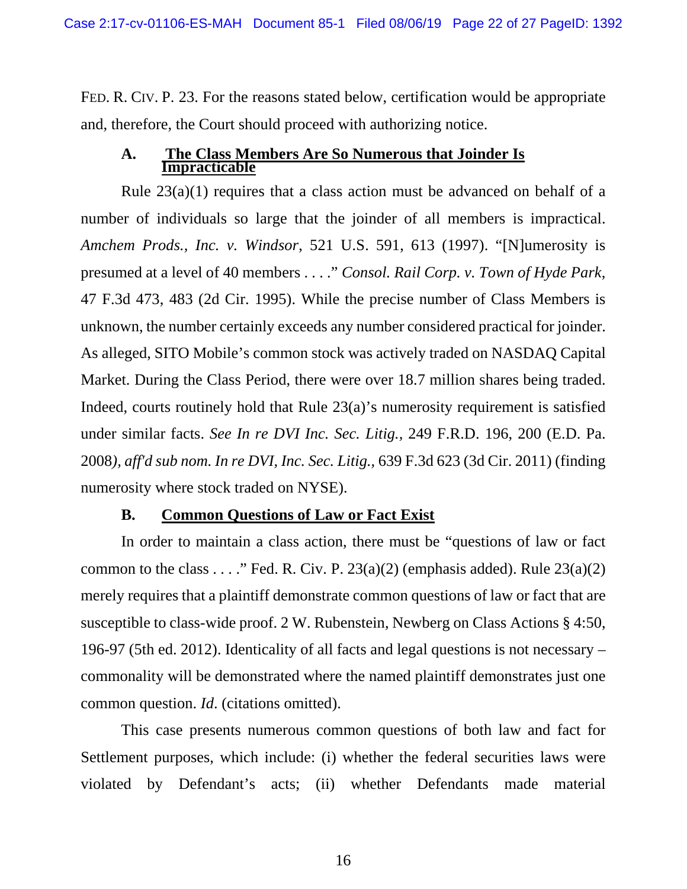FED. R. CIV. P. 23. For the reasons stated below, certification would be appropriate and, therefore, the Court should proceed with authorizing notice.

### **A. The Class Members Are So Numerous that Joinder Is Impracticable**

Rule  $23(a)(1)$  requires that a class action must be advanced on behalf of a number of individuals so large that the joinder of all members is impractical. *Amchem Prods., Inc. v. Windsor*, 521 U.S. 591, 613 (1997). "[N]umerosity is presumed at a level of 40 members . . . ." *Consol. Rail Corp. v. Town of Hyde Park*, 47 F.3d 473, 483 (2d Cir. 1995). While the precise number of Class Members is unknown, the number certainly exceeds any number considered practical for joinder. As alleged, SITO Mobile's common stock was actively traded on NASDAQ Capital Market. During the Class Period, there were over 18.7 million shares being traded. Indeed, courts routinely hold that Rule 23(a)'s numerosity requirement is satisfied under similar facts. *See In re DVI Inc. Sec. Litig.,* 249 F.R.D. 196, 200 (E.D. Pa. 2008*), aff'd sub nom. In re DVI, Inc. Sec. Litig.,* 639 F.3d 623 (3d Cir. 2011) (finding numerosity where stock traded on NYSE).

### **B. Common Questions of Law or Fact Exist**

In order to maintain a class action, there must be "questions of law or fact common to the class . . . ." Fed. R. Civ. P.  $23(a)(2)$  (emphasis added). Rule  $23(a)(2)$ merely requires that a plaintiff demonstrate common questions of law or fact that are susceptible to class-wide proof. 2 W. Rubenstein, Newberg on Class Actions § 4:50, 196-97 (5th ed. 2012). Identicality of all facts and legal questions is not necessary – commonality will be demonstrated where the named plaintiff demonstrates just one common question. *Id*. (citations omitted).

This case presents numerous common questions of both law and fact for Settlement purposes, which include: (i) whether the federal securities laws were violated by Defendant's acts; (ii) whether Defendants made material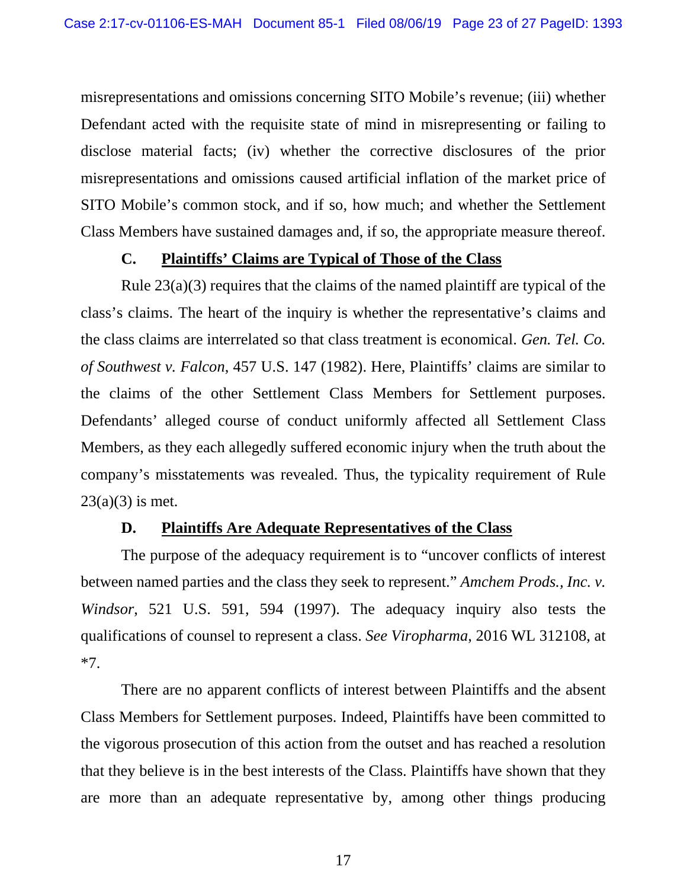misrepresentations and omissions concerning SITO Mobile's revenue; (iii) whether Defendant acted with the requisite state of mind in misrepresenting or failing to disclose material facts; (iv) whether the corrective disclosures of the prior misrepresentations and omissions caused artificial inflation of the market price of SITO Mobile's common stock, and if so, how much; and whether the Settlement Class Members have sustained damages and, if so, the appropriate measure thereof.

### **C. Plaintiffs' Claims are Typical of Those of the Class**

Rule 23(a)(3) requires that the claims of the named plaintiff are typical of the class's claims. The heart of the inquiry is whether the representative's claims and the class claims are interrelated so that class treatment is economical. *Gen. Tel. Co. of Southwest v. Falcon*, 457 U.S. 147 (1982). Here, Plaintiffs' claims are similar to the claims of the other Settlement Class Members for Settlement purposes. Defendants' alleged course of conduct uniformly affected all Settlement Class Members, as they each allegedly suffered economic injury when the truth about the company's misstatements was revealed. Thus, the typicality requirement of Rule  $23(a)(3)$  is met.

### **D. Plaintiffs Are Adequate Representatives of the Class**

The purpose of the adequacy requirement is to "uncover conflicts of interest between named parties and the class they seek to represent." *Amchem Prods., Inc. v. Windsor*, 521 U.S. 591, 594 (1997). The adequacy inquiry also tests the qualifications of counsel to represent a class. *See Viropharma*, 2016 WL 312108, at \*7.

There are no apparent conflicts of interest between Plaintiffs and the absent Class Members for Settlement purposes. Indeed, Plaintiffs have been committed to the vigorous prosecution of this action from the outset and has reached a resolution that they believe is in the best interests of the Class. Plaintiffs have shown that they are more than an adequate representative by, among other things producing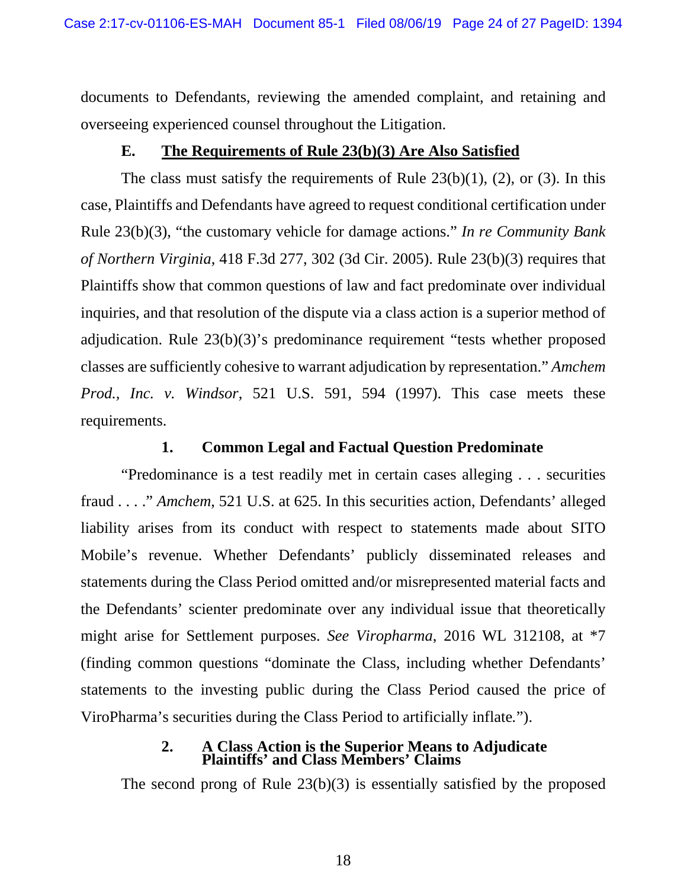documents to Defendants, reviewing the amended complaint, and retaining and overseeing experienced counsel throughout the Litigation.

### **E. The Requirements of Rule 23(b)(3) Are Also Satisfied**

The class must satisfy the requirements of Rule  $23(b)(1)$ ,  $(2)$ , or  $(3)$ . In this case, Plaintiffs and Defendants have agreed to request conditional certification under Rule 23(b)(3), "the customary vehicle for damage actions." *In re Community Bank of Northern Virginia*, 418 F.3d 277, 302 (3d Cir. 2005). Rule 23(b)(3) requires that Plaintiffs show that common questions of law and fact predominate over individual inquiries, and that resolution of the dispute via a class action is a superior method of adjudication. Rule 23(b)(3)'s predominance requirement "tests whether proposed classes are sufficiently cohesive to warrant adjudication by representation." *Amchem Prod., Inc. v. Windsor*, 521 U.S. 591, 594 (1997). This case meets these requirements.

### **1. Common Legal and Factual Question Predominate**

"Predominance is a test readily met in certain cases alleging . . . securities fraud . . . ." *Amchem*, 521 U.S. at 625. In this securities action, Defendants' alleged liability arises from its conduct with respect to statements made about SITO Mobile's revenue. Whether Defendants' publicly disseminated releases and statements during the Class Period omitted and/or misrepresented material facts and the Defendants' scienter predominate over any individual issue that theoretically might arise for Settlement purposes. *See Viropharma*, 2016 WL 312108, at \*7 (finding common questions "dominate the Class, including whether Defendants' statements to the investing public during the Class Period caused the price of ViroPharma's securities during the Class Period to artificially inflate*.*").

#### **2. A Class Action is the Superior Means to Adjudicate Plaintiffs' and Class Members' Claims**

The second prong of Rule 23(b)(3) is essentially satisfied by the proposed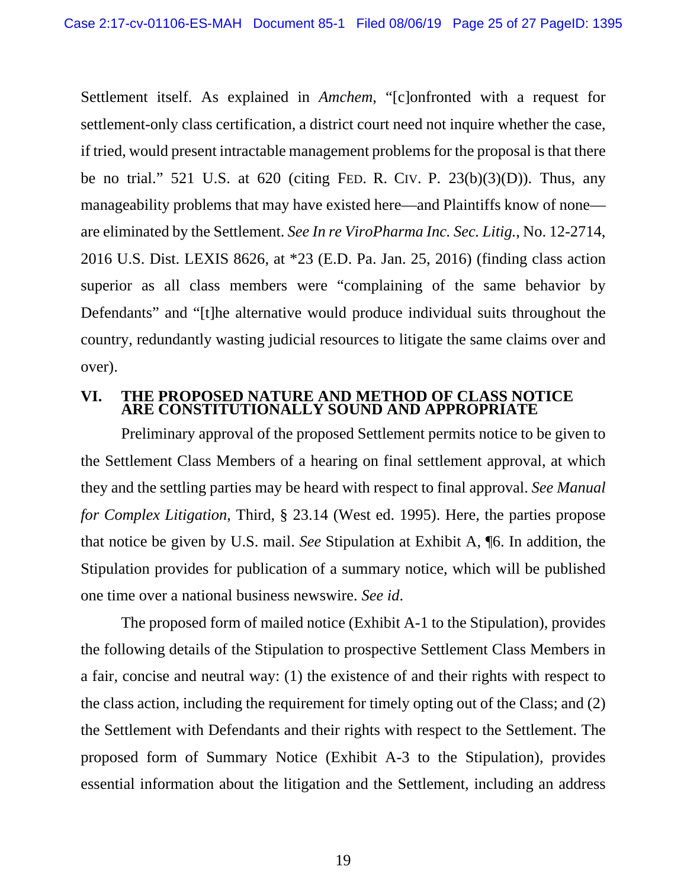Settlement itself. As explained in *Amchem*, "[c]onfronted with a request for settlement-only class certification, a district court need not inquire whether the case, if tried, would present intractable management problems for the proposal is that there be no trial." 521 U.S. at 620 (citing FED. R. CIV. P.  $23(b)(3)(D)$ ). Thus, any manageability problems that may have existed here—and Plaintiffs know of none are eliminated by the Settlement. *See In re ViroPharma Inc. Sec. Litig.*, No. 12-2714, 2016 U.S. Dist. LEXIS 8626, at \*23 (E.D. Pa. Jan. 25, 2016) (finding class action superior as all class members were "complaining of the same behavior by Defendants" and "[t]he alternative would produce individual suits throughout the country, redundantly wasting judicial resources to litigate the same claims over and over).

### **VI. THE PROPOSED NATURE AND METHOD OF CLASS NOTICE ARE CONSTITUTIONALLY SOUND AND APPROPRIATE**

Preliminary approval of the proposed Settlement permits notice to be given to the Settlement Class Members of a hearing on final settlement approval, at which they and the settling parties may be heard with respect to final approval. *See Manual for Complex Litigation*, Third, § 23.14 (West ed. 1995). Here, the parties propose that notice be given by U.S. mail. *See* Stipulation at Exhibit A, ¶6. In addition, the Stipulation provides for publication of a summary notice, which will be published one time over a national business newswire. *See id*.

The proposed form of mailed notice (Exhibit A-1 to the Stipulation), provides the following details of the Stipulation to prospective Settlement Class Members in a fair, concise and neutral way: (1) the existence of and their rights with respect to the class action, including the requirement for timely opting out of the Class; and (2) the Settlement with Defendants and their rights with respect to the Settlement. The proposed form of Summary Notice (Exhibit A-3 to the Stipulation), provides essential information about the litigation and the Settlement, including an address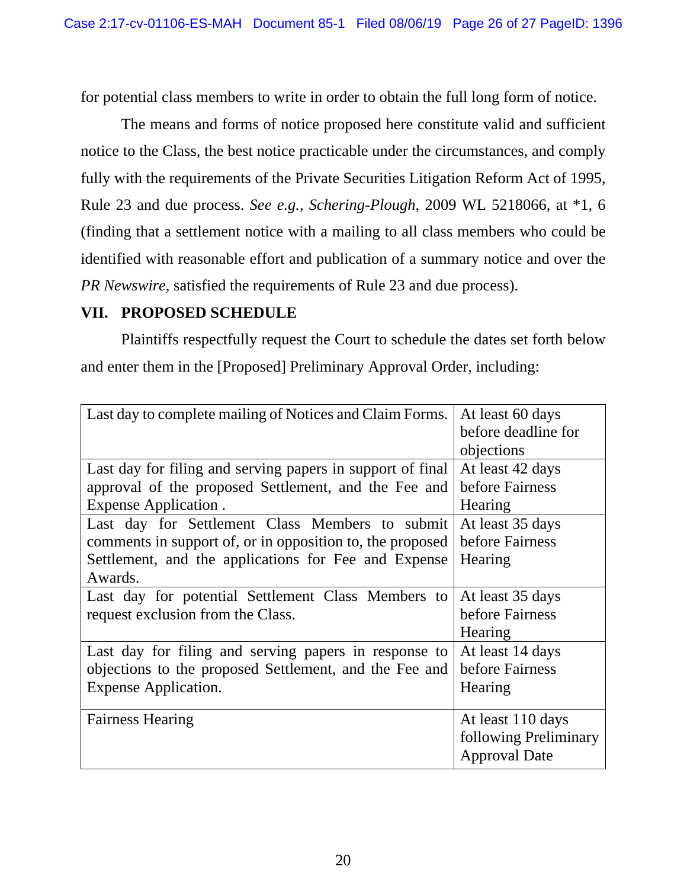for potential class members to write in order to obtain the full long form of notice.

The means and forms of notice proposed here constitute valid and sufficient notice to the Class, the best notice practicable under the circumstances, and comply fully with the requirements of the Private Securities Litigation Reform Act of 1995, Rule 23 and due process. *See e.g.*, *Schering-Plough*, 2009 WL 5218066, at \*1, 6 (finding that a settlement notice with a mailing to all class members who could be identified with reasonable effort and publication of a summary notice and over the *PR Newswire*, satisfied the requirements of Rule 23 and due process).

## **VII. PROPOSED SCHEDULE**

Plaintiffs respectfully request the Court to schedule the dates set forth below and enter them in the [Proposed] Preliminary Approval Order, including:

| Last day to complete mailing of Notices and Claim Forms.   | At least 60 days<br>before deadline for |
|------------------------------------------------------------|-----------------------------------------|
|                                                            | objections                              |
| Last day for filing and serving papers in support of final | At least 42 days                        |
| approval of the proposed Settlement, and the Fee and       | before Fairness                         |
| <b>Expense Application.</b>                                | Hearing                                 |
| Last day for Settlement Class Members to submit            | At least 35 days                        |
| comments in support of, or in opposition to, the proposed  | before Fairness                         |
| Settlement, and the applications for Fee and Expense       | Hearing                                 |
| Awards.                                                    |                                         |
| Last day for potential Settlement Class Members to         | At least 35 days                        |
| request exclusion from the Class.                          | before Fairness                         |
|                                                            | Hearing                                 |
| Last day for filing and serving papers in response to      | At least 14 days                        |
| objections to the proposed Settlement, and the Fee and     | before Fairness                         |
| Expense Application.                                       | Hearing                                 |
| <b>Fairness Hearing</b>                                    | At least 110 days                       |
|                                                            | following Preliminary                   |
|                                                            | <b>Approval Date</b>                    |